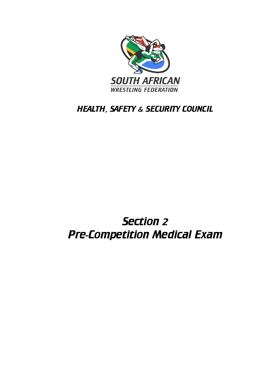

# HEALTH, SAFETY & SECURITY COUNCIL

# Section 2 Pre-Competition Medical Exam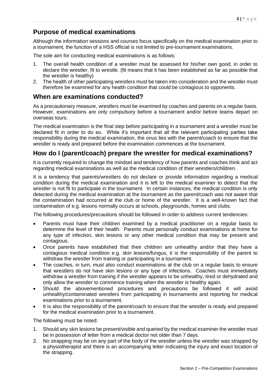## **Purpose of medical examinations**

Although the information sessions and courses focus specifically on the medical examination prior to a tournament, the function of a HSS official is not limited to pre-tournament examinations.

The sole aim for conducting medical examinations is as follows:

- 1. The overall health condition of a wrestler must be assessed for his/her own good, in order to declare the wrestler, fit to wrestle. (fit means that it has been established as far as possible that the wrestler is healthy)
- 2. The health of other participating wrestlers must be taken into consideration and the wrestler must therefore be examined for any health condition that could be contagious to opponents.

#### **When are examinations conducted?**

As a precautionary measure, wrestlers must be examined by coaches and parents on a regular basis. However, examinations are only compulsory before a tournament and/or before teams depart on overseas tours.

The medical examination is the final step before participating in a tournament and a wrestler must be declared fit in order to do so. While it's important that all the relevant participating parties take responsibility during the medical examination, the onus lies with the parent/coach to ensure that the wrestler is ready and prepared before the examination commences at the tournament.

#### **How do I (parent/coach) prepare the wrestler for medical examinations?**

It is currently required to change the mindset and tendency of how parents and coaches think and act regarding medical examinations as well as the medical condition of their wrestlers/children.

It is a tendency that parents/wrestlers do not declare or provide information regarding a medical condition during the medical examination and it is left to the medical examiner to detect that the wrestler is not fit to participate in the tournament. In certain instances, the medical condition is only detected during the medical examination at the tournament as the parent/coach was not aware that the contamination had occurred at the club or home of the wrestler. It is a well-known fact that contamination of e.g. lesions normally occurs at schools, playgrounds, homes and clubs.

The following procedures/precautions should be followed in order to address current tendencies:

- Parents must have their children examined by a medical practitioner on a regular basis to determine the level of their health. Parents must personally conduct examinations at home for any type of infection, skin lesions or any other medical condition that may be present and contagious.
- Once parents have established that their children are unhealthy and/or that they have a contagious medical condition e.g. skin lesions/fungus, it is the responsibility of the parent to withdraw the wrestler from training or participating in a tournament.
- The coaches, in turn, must also conduct examinations at the club on a regular basis to ensure that wrestlers do not have skin lesions or any type of infections. Coaches must immediately withdraw a wrestler from training if the wrestler appears to be unhealthy, tired or dehydrated and only allow the wrestler to commence training when the wrestler is healthy again.
- Should the abovementioned procedures and precautions be followed it will avoid unhealthy/contaminated wrestlers from participating in tournaments and reporting for medical examinations prior to a tournament.
- It is also the responsibility of the parent/coach to ensure that the wrestler is ready and prepared for the medical examination prior to a tournament.

The following must be noted:

- 1. Should any skin lesions be present/visible and queried by the medical examiner the wrestler must be in possession of letter from a medical doctor not older than 7 days.
- 2. No strapping may be on any part of the body of the wrestler unless the wrestler was strapped by a physiotherapist and there is an accompanying letter indicating the injury and exact location of the strapping.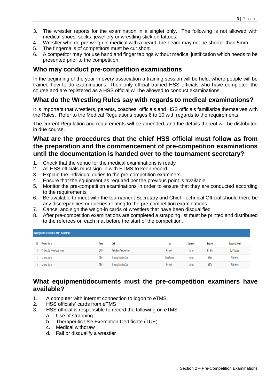- 3. The wrestler reports for the examination in a singlet only. The following is not allowed with medical shoes, socks, jewellery or wrestling stick on tattoos.
- 4. Wrestler who do pre-weigh in medical with a beard, the beard may not be shorter than 5mm.
- 5. The fingernails of competitors must be cut short.
- 6. A competitor may not use hand and finger tapings without medical justification which needs to be presented prior to the competition.

#### **Who may conduct pre-competition examinations**

In the beginning of the year in every association a training session will be held, where people will be trained how to do examinations. Then only official trained HSS officials who have completed the course and are registered as a HSS official will be allowed to conduct examinations.

#### **What do the Wrestling Rules say with regards to medical examinations?**

It is important that wrestlers, parents, coaches, officials and HSS officials familiarize themselves with the Rules. Refer to the Medical Regulations pages 6 to 10 with regards to the requirements.

The current Regulation and requirements will be amended, and the details thereof will be distributed in due course.

#### **What are the procedures that the chief HSS official must follow as from the preparation and the commencement of pre-competition examinations until the documentation is handed over to the tournament secretary?**

- 1. Check that the venue for the medical examinations is ready
- 2. All HSS officials must sign-in with ETMS to keep record.
- 3. Explain the individual duties to the pre-competition examiners
- 4. Ensure that the equipment as required per the previous point is available
- 5. Monitor the pre-competition examinations in order to ensure that they are conducted according to the requirements
- 6. Be available to meet with the tournament Secretary and Chief Technical Official should there be any discrepancies or queries relating to the pre-competition examinations.
- 7. Cancel and sign the weigh-in cards of wrestlers that have been disqualified
- 8. After pre-competition examinations are completed a strapping list must be printed and distributed to the referees on each mat before the start of the competition.

| Strapping Report for tournament : SAWF Senior Trials |                                  |      |                           |             |          |                |                         |
|------------------------------------------------------|----------------------------------|------|---------------------------|-------------|----------|----------------|-------------------------|
| ID                                                   | <b>Member Name</b>               | Team | Club                      | Style       | Category | <b>Bracket</b> | <b>Strapping Detail</b> |
|                                                      | Coetzee, Gert Cornelius Johannes | GNW  | Rustenburg Wrestling Club | Freestyle   | Senior   | $61 - 65kg$    | Left Shoulder           |
|                                                      | Coetzee, Marco                   | GEW  | Boksburg Wrestling Club   | Greco-Roman | Senior   | U/59kg         | Right Knee              |
|                                                      | Coetzee, Marco                   | GEW  | Boksburg Wrestling Club   | Freestyle   | Senior   | U/57kg         | <b>Right Knee</b>       |

#### **What equipment/documents must the pre-competition examiners have available?**

- 1. A computer with internet connection to logon to eTMS.
- 2. HSS officials' cards from eTMS
- 3. HSS official is responsible to record the following on eTMS:
	- a. Use of strapping
	- b. Therapeutic Use Exemption Certificate (TUE)
	- c. Medical withdraw
	- d. Fail or disqualify a wrestler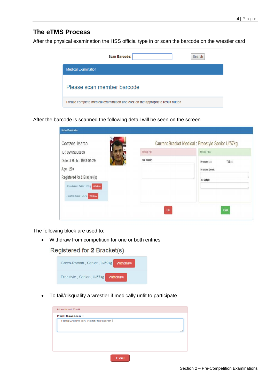#### **The eTMS Process**

After the physical examination the HSS official type in or scan the barcode on the wrestler card

| Scan Barcode:                                                                  | Search |  |  |
|--------------------------------------------------------------------------------|--------|--|--|
| <b>Medical Examination</b>                                                     |        |  |  |
| Please scan member barcode                                                     |        |  |  |
| Please complete medical examination and click on the appropriate result button |        |  |  |

After the barcode is scanned the following detail will be seen on the screen

| Medical Examination                  |              |                                                   |
|--------------------------------------|--------------|---------------------------------------------------|
| Coetzee, Marco                       |              | Current Bracket Medical : Freestyle Senior U/57kg |
| ID: 09WS000859                       | Medical Fall | Medical Pass                                      |
| Date of Birth: 1993-01-29            | Fail Reason: | Strapping:<br>TUE:                                |
| Age: 20+                             |              | <b>Strapping Detail:</b>                          |
| Registered for 2 Bracket(s)          |              | Tue Detail:                                       |
| Greco-Roman, Senior, U/59kg Withdraw |              |                                                   |
| Freestyle Senior U/57kg Wilhdraw     |              |                                                   |
|                                      |              |                                                   |
|                                      | Fail         | Pass                                              |

The following block are used to:

• Withdraw from competition for one or both entries

Registered for 2 Bracket(s)



• To fail/disqualify a wrestler if medically unfit to participate

| <b>Medical Fail</b> |                           |  |  |
|---------------------|---------------------------|--|--|
| <b>Fail Reason:</b> |                           |  |  |
|                     | Ringworm on right forearm |  |  |
|                     |                           |  |  |
|                     |                           |  |  |
|                     |                           |  |  |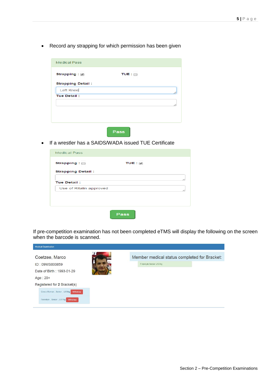• Record any strapping for which permission has been given

| <b>Medical Pass</b>      |              |
|--------------------------|--------------|
| Strapping: 0             | TUE : $\Box$ |
| <b>Strapping Detail:</b> |              |
| Left Knee                |              |
| <b>Tue Detail:</b>       |              |
|                          |              |
|                          |              |
|                          |              |
|                          |              |
|                          |              |



• If a wrestler has a SAIDS/WADA issued TUE Certificate

| String:                  | TUE: V |  |
|--------------------------|--------|--|
| <b>Strapping Detail:</b> |        |  |
| <b>Tue Detail:</b>       |        |  |
| Use of Ritalin approved  |        |  |
|                          |        |  |
|                          |        |  |

If pre-competition examination has not been completed eTMS will display the following on the screen when the barcode is scanned.

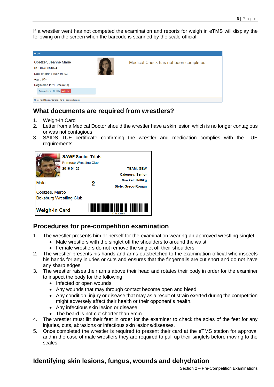If a wrestler went has not competed the examination and reports for weigh in eTMS will display the following on the screen when the barcode is scanned by the scale official.

| Weigh-in                                                                          |  |                                      |  |  |  |
|-----------------------------------------------------------------------------------|--|--------------------------------------|--|--|--|
| Coetzer, Jeanne Marie<br>ID: 10WS001874<br>Date of Birth: 1987-05-03<br>$Age:20+$ |  | Medical Check has not been completed |  |  |  |
| Registered for 1 Bracket(s)                                                       |  |                                      |  |  |  |
| Female, Senior, 58 - 60kg<br>Withdraw                                             |  |                                      |  |  |  |
| Please weight the member and enter the appropriate result                         |  |                                      |  |  |  |

#### **What documents are required from wrestlers?**

- 1. Weigh-In Card
- 2. Letter from a Medical Doctor should the wrestler have a skin lesion which is no longer contagious or was not contagious
- 3. SAIDS TUE certificate confirming the wrestler and medication complies with the TUE requirements



### **Procedures for pre-competition examination**

- 1. The wrestler presents him or herself for the examination wearing an approved wrestling singlet
	- Male wrestlers with the singlet off the shoulders to around the waist
	- Female wrestlers do not remove the singlet off their shoulders
- 2. The wrestler presents his hands and arms outstretched to the examination official who inspects his hands for any injuries or cuts and ensures that the fingernails are cut short and do not have any sharp edges.
- 3. The wrestler raises their arms above their head and rotates their body in order for the examiner to inspect the body for the following:
	- Infected or open wounds
	- Any wounds that may through contact become open and bleed
	- Any condition, injury or disease that may as a result of strain exerted during the competition might adversely affect their health or their opponent's health.
	- Any infectious skin lesion or disease.
	- The beard is not cut shorter than 5mm
- 4. The wrestler must lift their feet in order for the examiner to check the soles of the feet for any injuries, cuts, abrasions or infectious skin lesions/diseases.
- 5. Once completed the wrestler is required to present their card at the eTMS station for approval and in the case of male wrestlers they are required to pull up their singlets before moving to the scales.

#### **Identifying skin lesions, fungus, wounds and dehydration**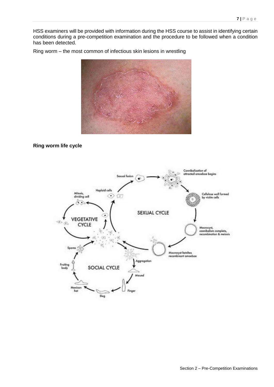HSS examiners will be provided with information during the HSS course to assist in identifying certain conditions during a pre-competition examination and the procedure to be followed when a condition has been detected.

Ring worm – the most common of infectious skin lesions in wrestling



#### **Ring worm life cycle**